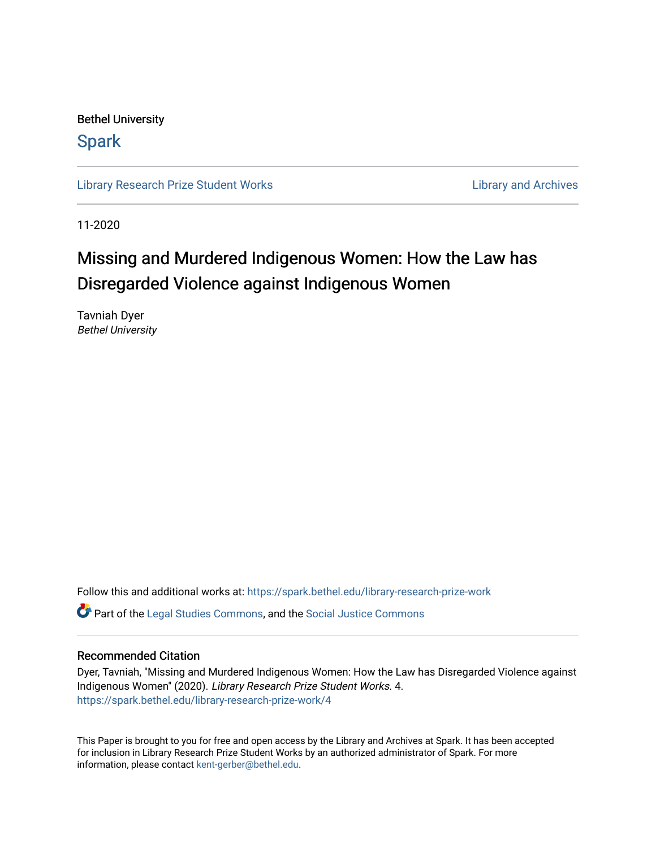Bethel University

# **Spark**

[Library Research Prize Student Works](https://spark.bethel.edu/library-research-prize-work) **Library Access 2018** Library and Archives

11-2020

# Missing and Murdered Indigenous Women: How the Law has Disregarded Violence against Indigenous Women

Tavniah Dyer Bethel University

Follow this and additional works at: [https://spark.bethel.edu/library-research-prize-work](https://spark.bethel.edu/library-research-prize-work?utm_source=spark.bethel.edu%2Flibrary-research-prize-work%2F4&utm_medium=PDF&utm_campaign=PDFCoverPages) 

Part of the [Legal Studies Commons,](http://network.bepress.com/hgg/discipline/366?utm_source=spark.bethel.edu%2Flibrary-research-prize-work%2F4&utm_medium=PDF&utm_campaign=PDFCoverPages) and the [Social Justice Commons](http://network.bepress.com/hgg/discipline/1432?utm_source=spark.bethel.edu%2Flibrary-research-prize-work%2F4&utm_medium=PDF&utm_campaign=PDFCoverPages)

# Recommended Citation

Dyer, Tavniah, "Missing and Murdered Indigenous Women: How the Law has Disregarded Violence against Indigenous Women" (2020). Library Research Prize Student Works. 4. [https://spark.bethel.edu/library-research-prize-work/4](https://spark.bethel.edu/library-research-prize-work/4?utm_source=spark.bethel.edu%2Flibrary-research-prize-work%2F4&utm_medium=PDF&utm_campaign=PDFCoverPages)

This Paper is brought to you for free and open access by the Library and Archives at Spark. It has been accepted for inclusion in Library Research Prize Student Works by an authorized administrator of Spark. For more information, please contact [kent-gerber@bethel.edu.](mailto:kent-gerber@bethel.edu)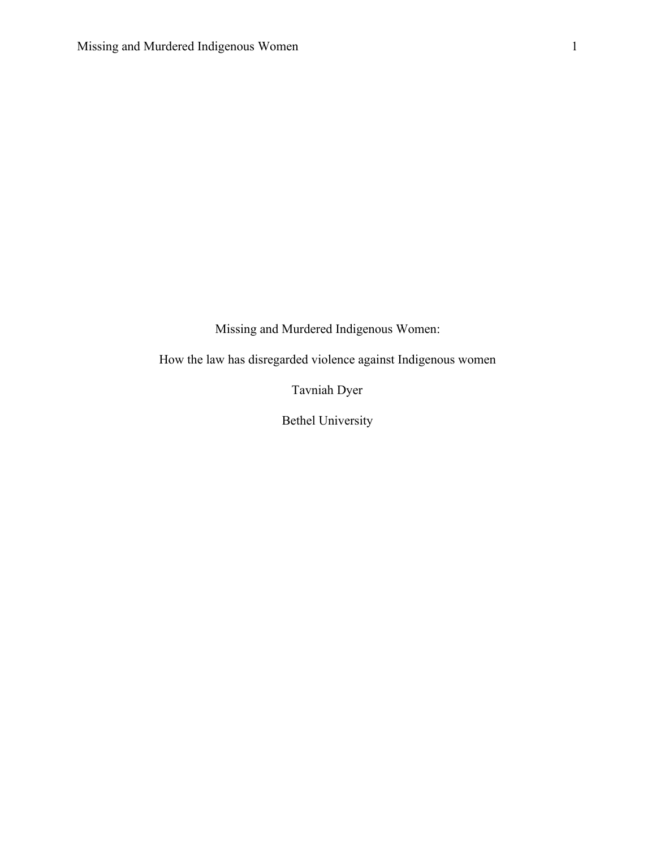Missing and Murdered Indigenous Women:

How the law has disregarded violence against Indigenous women

Tavniah Dyer

Bethel University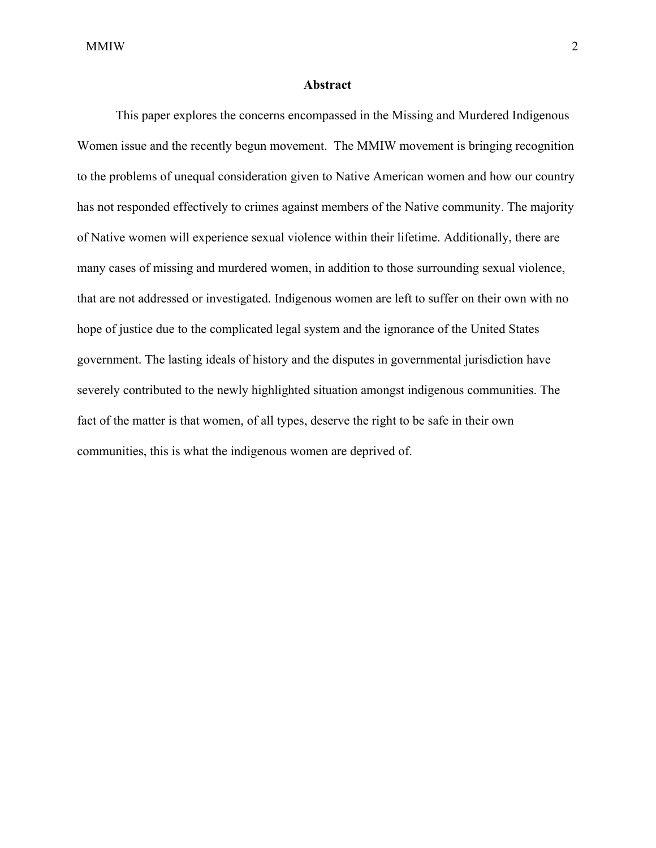### **Abstract**

This paper explores the concerns encompassed in the Missing and Murdered Indigenous Women issue and the recently begun movement. The MMIW movement is bringing recognition to the problems of unequal consideration given to Native American women and how our country has not responded effectively to crimes against members of the Native community. The majority of Native women will experience sexual violence within their lifetime. Additionally, there are many cases of missing and murdered women, in addition to those surrounding sexual violence, that are not addressed or investigated. Indigenous women are left to suffer on their own with no hope of justice due to the complicated legal system and the ignorance of the United States government. The lasting ideals of history and the disputes in governmental jurisdiction have severely contributed to the newly highlighted situation amongst indigenous communities. The fact of the matter is that women, of all types, deserve the right to be safe in their own communities, this is what the indigenous women are deprived of.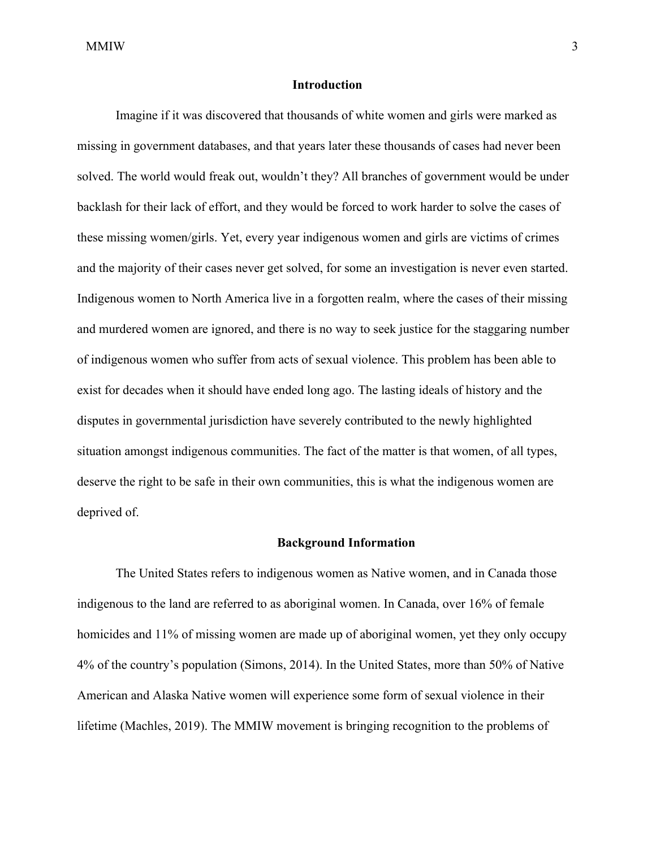# **Introduction**

Imagine if it was discovered that thousands of white women and girls were marked as missing in government databases, and that years later these thousands of cases had never been solved. The world would freak out, wouldn't they? All branches of government would be under backlash for their lack of effort, and they would be forced to work harder to solve the cases of these missing women/girls. Yet, every year indigenous women and girls are victims of crimes and the majority of their cases never get solved, for some an investigation is never even started. Indigenous women to North America live in a forgotten realm, where the cases of their missing and murdered women are ignored, and there is no way to seek justice for the staggaring number of indigenous women who suffer from acts of sexual violence. This problem has been able to exist for decades when it should have ended long ago. The lasting ideals of history and the disputes in governmental jurisdiction have severely contributed to the newly highlighted situation amongst indigenous communities. The fact of the matter is that women, of all types, deserve the right to be safe in their own communities, this is what the indigenous women are deprived of.

#### **Background Information**

The United States refers to indigenous women as Native women, and in Canada those indigenous to the land are referred to as aboriginal women. In Canada, over 16% of female homicides and 11% of missing women are made up of aboriginal women, yet they only occupy 4% of the country's population (Simons, 2014). In the United States, more than 50% of Native American and Alaska Native women will experience some form of sexual violence in their lifetime (Machles, 2019). The MMIW movement is bringing recognition to the problems of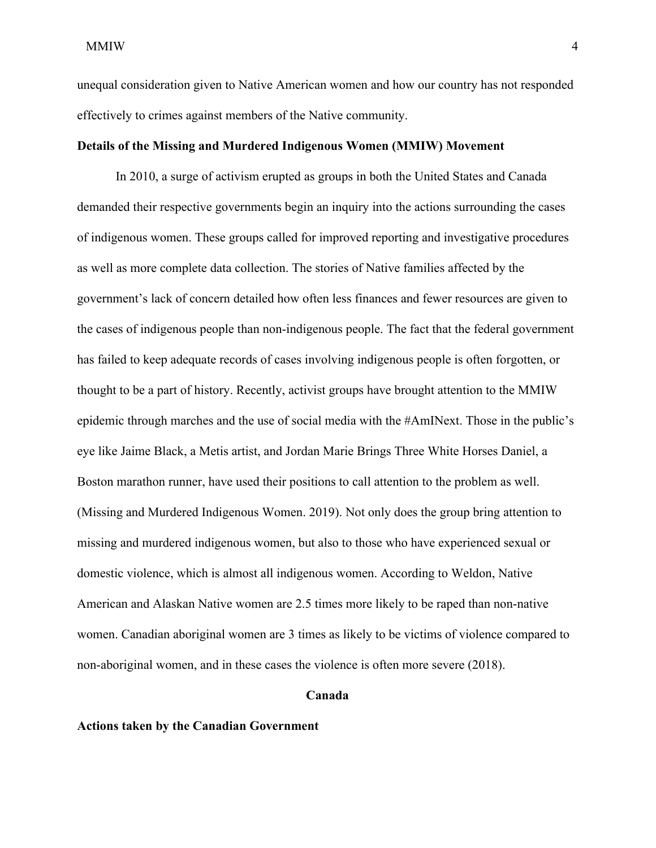unequal consideration given to Native American women and how our country has not responded effectively to crimes against members of the Native community.

# **Details of the Missing and Murdered Indigenous Women (MMIW) Movement**

In 2010, a surge of activism erupted as groups in both the United States and Canada demanded their respective governments begin an inquiry into the actions surrounding the cases of indigenous women. These groups called for improved reporting and investigative procedures as well as more complete data collection. The stories of Native families affected by the government's lack of concern detailed how often less finances and fewer resources are given to the cases of indigenous people than non-indigenous people. The fact that the federal government has failed to keep adequate records of cases involving indigenous people is often forgotten, or thought to be a part of history. Recently, activist groups have brought attention to the MMIW epidemic through marches and the use of social media with the #AmINext. Those in the public's eye like Jaime Black, a Metis artist, and Jordan Marie Brings Three White Horses Daniel, a Boston marathon runner, have used their positions to call attention to the problem as well. (Missing and Murdered Indigenous Women. 2019). Not only does the group bring attention to missing and murdered indigenous women, but also to those who have experienced sexual or domestic violence, which is almost all indigenous women. According to Weldon, Native American and Alaskan Native women are 2.5 times more likely to be raped than non-native women. Canadian aboriginal women are 3 times as likely to be victims of violence compared to non-aboriginal women, and in these cases the violence is often more severe (2018).

## **Canada**

#### **Actions taken by the Canadian Government**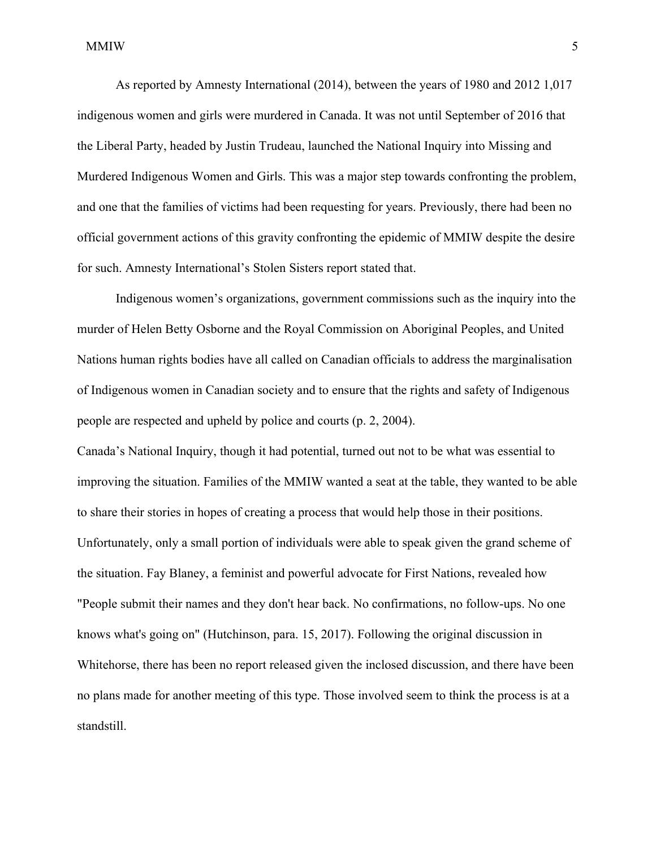As reported by Amnesty International (2014), between the years of 1980 and 2012 1,017 indigenous women and girls were murdered in Canada. It was not until September of 2016 that the Liberal Party, headed by Justin Trudeau, launched the National Inquiry into Missing and Murdered Indigenous Women and Girls. This was a major step towards confronting the problem, and one that the families of victims had been requesting for years. Previously, there had been no official government actions of this gravity confronting the epidemic of MMIW despite the desire for such. Amnesty International's Stolen Sisters report stated that.

Indigenous women's organizations, government commissions such as the inquiry into the murder of Helen Betty Osborne and the Royal Commission on Aboriginal Peoples, and United Nations human rights bodies have all called on Canadian officials to address the marginalisation of Indigenous women in Canadian society and to ensure that the rights and safety of Indigenous people are respected and upheld by police and courts (p. 2, 2004).

Canada's National Inquiry, though it had potential, turned out not to be what was essential to improving the situation. Families of the MMIW wanted a seat at the table, they wanted to be able to share their stories in hopes of creating a process that would help those in their positions. Unfortunately, only a small portion of individuals were able to speak given the grand scheme of the situation. Fay Blaney, a feminist and powerful advocate for First Nations, revealed how "People submit their names and they don't hear back. No confirmations, no follow-ups. No one knows what's going on" (Hutchinson, para. 15, 2017). Following the original discussion in Whitehorse, there has been no report released given the inclosed discussion, and there have been no plans made for another meeting of this type. Those involved seem to think the process is at a standstill.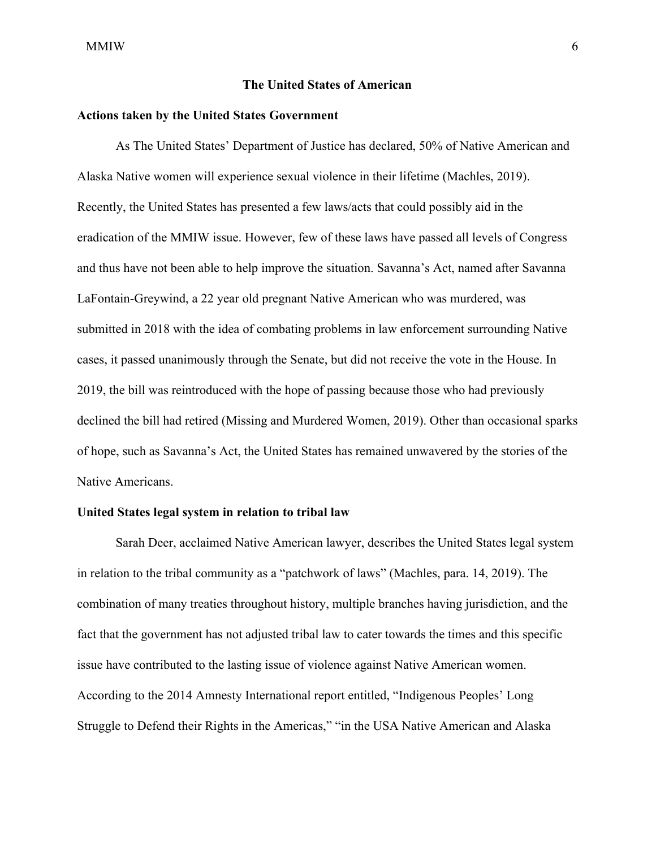# **The United States of American**

## **Actions taken by the United States Government**

As The United States' Department of Justice has declared, 50% of Native American and Alaska Native women will experience sexual violence in their lifetime (Machles, 2019). Recently, the United States has presented a few laws/acts that could possibly aid in the eradication of the MMIW issue. However, few of these laws have passed all levels of Congress and thus have not been able to help improve the situation. Savanna's Act, named after Savanna LaFontain-Greywind, a 22 year old pregnant Native American who was murdered, was submitted in 2018 with the idea of combating problems in law enforcement surrounding Native cases, it passed unanimously through the Senate, but did not receive the vote in the House. In 2019, the bill was reintroduced with the hope of passing because those who had previously declined the bill had retired (Missing and Murdered Women, 2019). Other than occasional sparks of hope, such as Savanna's Act, the United States has remained unwavered by the stories of the Native Americans.

# **United States legal system in relation to tribal law**

Sarah Deer, acclaimed Native American lawyer, describes the United States legal system in relation to the tribal community as a "patchwork of laws" (Machles, para. 14, 2019). The combination of many treaties throughout history, multiple branches having jurisdiction, and the fact that the government has not adjusted tribal law to cater towards the times and this specific issue have contributed to the lasting issue of violence against Native American women. According to the 2014 Amnesty International report entitled, "Indigenous Peoples' Long Struggle to Defend their Rights in the Americas," "in the USA Native American and Alaska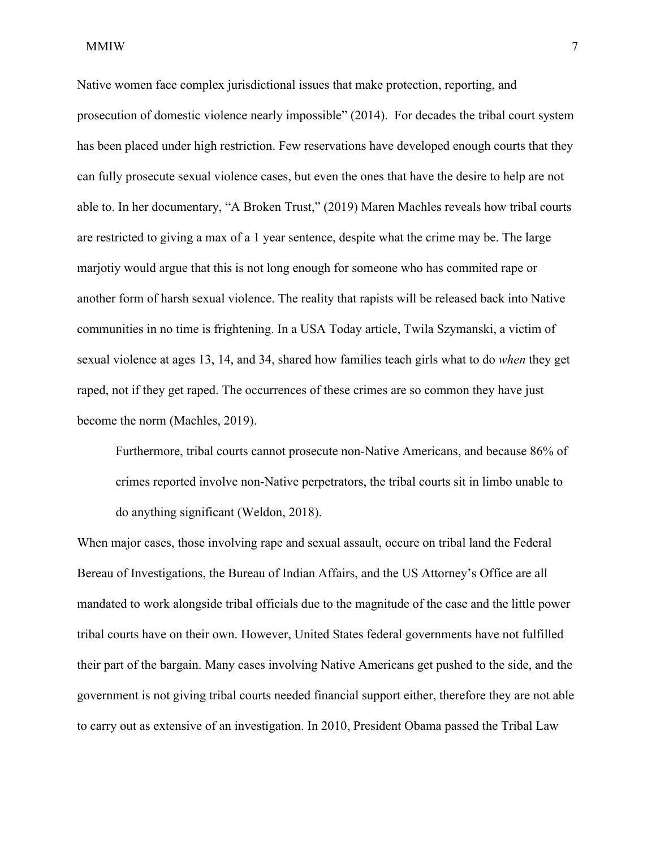Native women face complex jurisdictional issues that make protection, reporting, and prosecution of domestic violence nearly impossible" (2014). For decades the tribal court system has been placed under high restriction. Few reservations have developed enough courts that they can fully prosecute sexual violence cases, but even the ones that have the desire to help are not able to. In her documentary, "A Broken Trust," (2019) Maren Machles reveals how tribal courts are restricted to giving a max of a 1 year sentence, despite what the crime may be. The large marjotiy would argue that this is not long enough for someone who has commited rape or another form of harsh sexual violence. The reality that rapists will be released back into Native communities in no time is frightening. In a USA Today article, Twila Szymanski, a victim of sexual violence at ages 13, 14, and 34, shared how families teach girls what to do *when* they get raped, not if they get raped. The occurrences of these crimes are so common they have just become the norm (Machles, 2019).

Furthermore, tribal courts cannot prosecute non-Native Americans, and because 86% of crimes reported involve non-Native perpetrators, the tribal courts sit in limbo unable to do anything significant (Weldon, 2018).

When major cases, those involving rape and sexual assault, occure on tribal land the Federal Bereau of Investigations, the Bureau of Indian Affairs, and the US Attorney's Office are all mandated to work alongside tribal officials due to the magnitude of the case and the little power tribal courts have on their own. However, United States federal governments have not fulfilled their part of the bargain. Many cases involving Native Americans get pushed to the side, and the government is not giving tribal courts needed financial support either, therefore they are not able to carry out as extensive of an investigation. In 2010, President Obama passed the Tribal Law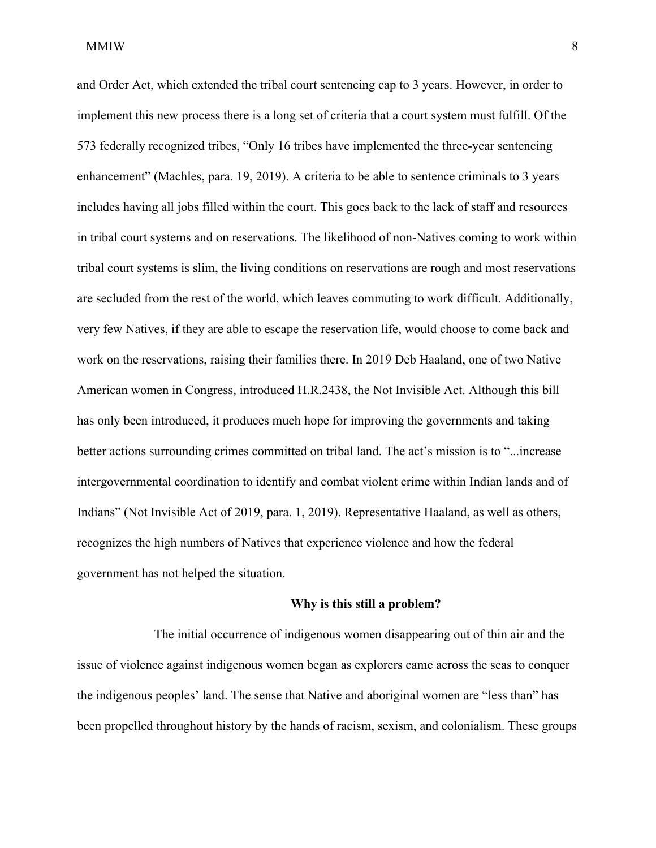and Order Act, which extended the tribal court sentencing cap to 3 years. However, in order to implement this new process there is a long set of criteria that a court system must fulfill. Of the 573 federally recognized tribes, "Only 16 tribes have implemented the three-year sentencing enhancement" (Machles, para. 19, 2019). A criteria to be able to sentence criminals to 3 years includes having all jobs filled within the court. This goes back to the lack of staff and resources in tribal court systems and on reservations. The likelihood of non-Natives coming to work within tribal court systems is slim, the living conditions on reservations are rough and most reservations are secluded from the rest of the world, which leaves commuting to work difficult. Additionally, very few Natives, if they are able to escape the reservation life, would choose to come back and work on the reservations, raising their families there. In 2019 Deb Haaland, one of two Native American women in Congress, introduced H.R.2438, the Not Invisible Act. Although this bill has only been introduced, it produces much hope for improving the governments and taking better actions surrounding crimes committed on tribal land. The act's mission is to "...increase intergovernmental coordination to identify and combat violent crime within Indian lands and of Indians" (Not Invisible Act of 2019, para. 1, 2019). Representative Haaland, as well as others, recognizes the high numbers of Natives that experience violence and how the federal government has not helped the situation.

#### **Why is this still a problem?**

The initial occurrence of indigenous women disappearing out of thin air and the issue of violence against indigenous women began as explorers came across the seas to conquer the indigenous peoples' land. The sense that Native and aboriginal women are "less than" has been propelled throughout history by the hands of racism, sexism, and colonialism. These groups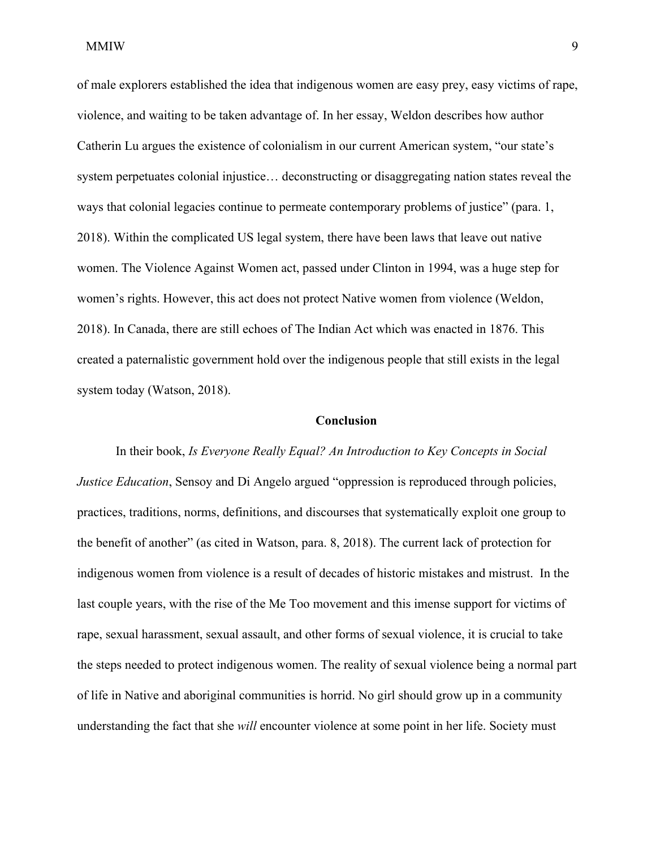of male explorers established the idea that indigenous women are easy prey, easy victims of rape, violence, and waiting to be taken advantage of. In her essay, Weldon describes how author Catherin Lu argues the existence of colonialism in our current American system, "our state's system perpetuates colonial injustice… deconstructing or disaggregating nation states reveal the ways that colonial legacies continue to permeate contemporary problems of justice" (para. 1, 2018). Within the complicated US legal system, there have been laws that leave out native women. The Violence Against Women act, passed under Clinton in 1994, was a huge step for women's rights. However, this act does not protect Native women from violence (Weldon, 2018). In Canada, there are still echoes of The Indian Act which was enacted in 1876. This created a paternalistic government hold over the indigenous people that still exists in the legal system today (Watson, 2018).

# **Conclusion**

In their book, *Is Everyone Really Equal? An Introduction to Key Concepts in Social Justice Education*, Sensoy and Di Angelo argued "oppression is reproduced through policies, practices, traditions, norms, definitions, and discourses that systematically exploit one group to the benefit of another" (as cited in Watson, para. 8, 2018). The current lack of protection for indigenous women from violence is a result of decades of historic mistakes and mistrust. In the last couple years, with the rise of the Me Too movement and this imense support for victims of rape, sexual harassment, sexual assault, and other forms of sexual violence, it is crucial to take the steps needed to protect indigenous women. The reality of sexual violence being a normal part of life in Native and aboriginal communities is horrid. No girl should grow up in a community understanding the fact that she *will* encounter violence at some point in her life. Society must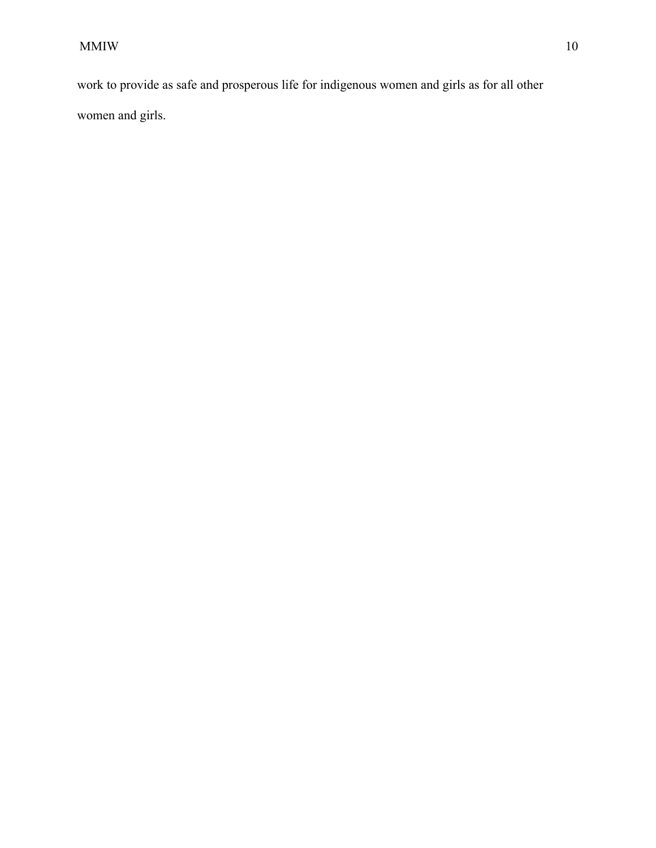work to provide as safe and prosperous life for indigenous women and girls as for all other women and girls.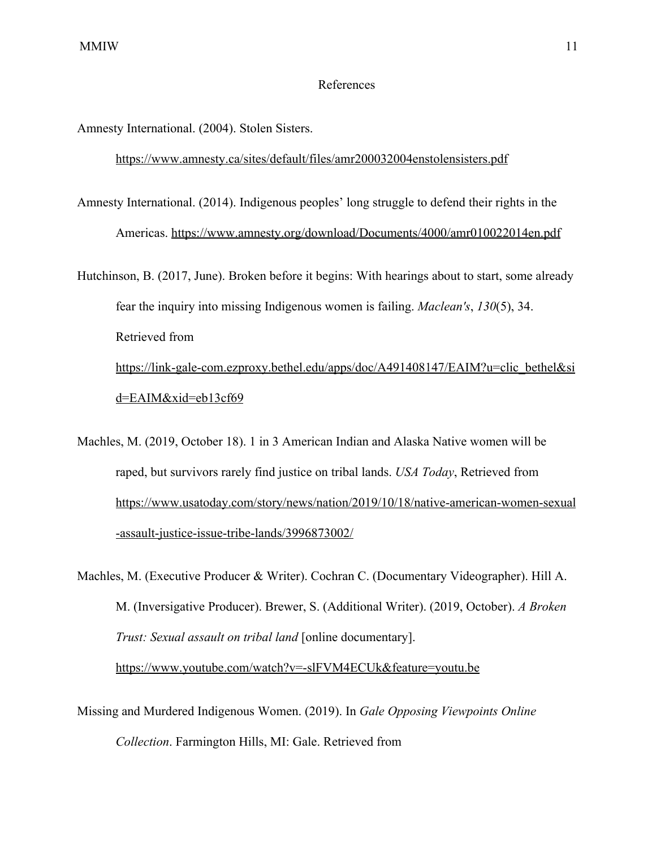# References

Amnesty International. (2004). Stolen Sisters[.](https://www.amnesty.ca/sites/default/files/amr200032004enstolensisters.pdf)

# <https://www.amnesty.ca/sites/default/files/amr200032004enstolensisters.pdf>

Amnesty International. (2014). Indigenous peoples' long struggle to defend their rights in the Americas. <https://www.amnesty.org/download/Documents/4000/amr010022014en.pdf>

Hutchinson, B. (2017, June). Broken before it begins: With hearings about to start, some already fear the inquiry into missing Indigenous women is failing. *Maclean's*, *130*(5), 34. Retrieved from [https://link-gale-com.ezproxy.bethel.edu/apps/doc/A491408147/EAIM?u=clic\\_bethel&si](https://link-gale-com.ezproxy.bethel.edu/apps/doc/A491408147/EAIM?u=clic_bethel&sid=EAIM&xid=eb13cf69) [d=EAIM&xid=eb13cf69](https://link-gale-com.ezproxy.bethel.edu/apps/doc/A491408147/EAIM?u=clic_bethel&sid=EAIM&xid=eb13cf69)

Machles, M. (2019, October 18). 1 in 3 American Indian and Alaska Native women will be raped, but survivors rarely find justice on tribal lands. *USA Today*, Retrieved from [https://www.usatoday.com/story/news/nation/2019/10/18/native-american-women-sexual](https://www.usatoday.com/story/news/nation/2019/10/18/native-american-women-sexual-assault-justice-issue-tribe-lands/3996873002/) [-assault-justice-issue-tribe-lands/3996873002/](https://www.usatoday.com/story/news/nation/2019/10/18/native-american-women-sexual-assault-justice-issue-tribe-lands/3996873002/)

Machles, M. (Executive Producer & Writer). Cochran C. (Documentary Videographer). Hill A. M. (Inversigative Producer). Brewer, S. (Additional Writer). (2019, October). *A Broken Trust: Sexual assault on tribal land* [online documentary]. <https://www.youtube.com/watch?v=-slFVM4ECUk&feature=youtu.be>

Missing and Murdered Indigenous Women. (2019). In *Gale Opposing Viewpoints Online Collection*. Farmington Hills, MI: Gale. Retrieved from